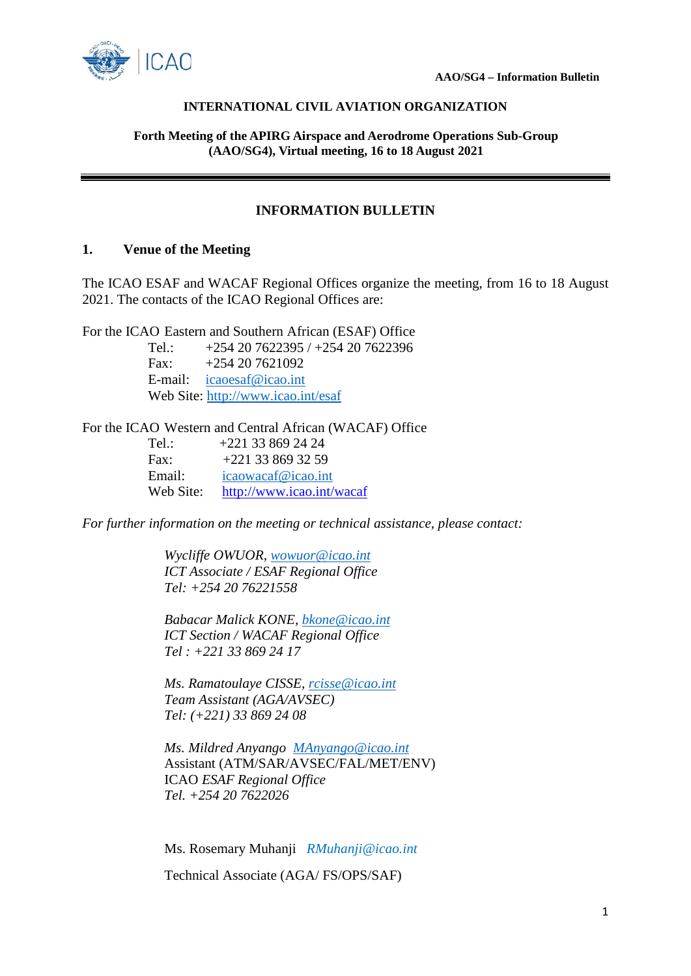

#### **INTERNATIONAL CIVIL AVIATION ORGANIZATION**

**Forth Meeting of the APIRG Airspace and Aerodrome Operations Sub-Group (AAO/SG4), Virtual meeting, 16 to 18 August 2021**

# **INFORMATION BULLETIN**

## **1. Venue of the Meeting**

The ICAO ESAF and WACAF Regional Offices organize the meeting, from 16 to 18 August 2021. The contacts of the ICAO Regional Offices are:

For the ICAO Eastern and Southern African (ESAF) Office

Tel.: +254 20 7622395 / +254 20 7622396 Fax:  $+254\,20\,7621092$ E-mail: [icaoesaf@icao.int](mailto:icaoesaf@icao.int) Web Site:<http://www.icao.int/esaf>

#### For the ICAO Western and Central African (WACAF) Office

| Tel.:     | $+221$ 33 869 24 24       |
|-----------|---------------------------|
| Fax:      | $+221$ 33 869 32 59       |
| Email:    | icaowacaf@icao.int        |
| Web Site: | http://www.icao.int/wacaf |

*For further information on the meeting or technical assistance, please contact:* 

*Wycliffe OWUOR, [wowuor@icao.int](mailto:wowuor@icao.int) ICT Associate / ESAF Regional Office Tel: +254 20 76221558*

*Babacar Malick KONE, [bkone@icao.int](mailto:bkone@icao.int) ICT Section / WACAF Regional Office Tel : +221 33 869 24 17*

*Ms. Ramatoulaye CISSE, [rcisse@icao.int](mailto:rcisse@icao.int) Team Assistant (AGA/AVSEC) Tel: (+221) 33 869 24 08* 

*Ms. Mildred Anyango [MAnyango@icao.int](mailto:MAnyango@icao.int)* Assistant (ATM/SAR/AVSEC/FAL/MET/ENV) ICAO *ESAF Regional Office Tel. +254 20 7622026*

Ms. Rosemary Muhanji *RMuhanji@icao.int*

Technical Associate (AGA/ FS/OPS/SAF)